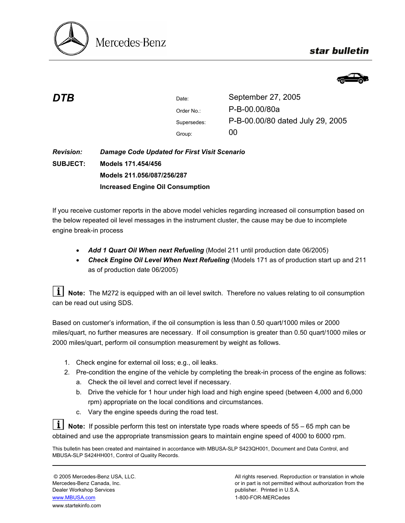

# star bulletin



| DTB | Date:       | September 27, 2005               |
|-----|-------------|----------------------------------|
|     | Order No.:  | P-B-00.00/80a                    |
|     | Supersedes: | P-B-00.00/80 dated July 29, 2005 |
|     | Group:      | 00                               |
|     |             |                                  |

#### *Revision:*  **SUBJECT:** *Damage Code Updated for First Visit Scenario*  **Models 171.454/456 Models 211.056/087/256/287 Increased Engine Oil Consumption**

If you receive customer reports in the above model vehicles regarding increased oil consumption based on the below repeated oil level messages in the instrument cluster, the cause may be due to incomplete engine break-in process

- *Add 1 Quart Oil When next Refueling* (Model 211 until production date 06/2005)
- *Check Engine Oil Level When Next Refueling* (Models 171 as of production start up and 211 as of production date 06/2005)

|  |                            | $\boxed{\mathbf{i}}$ Note: The M272 is equipped with an oil level switch. Therefore no values relating to oil consumption |
|--|----------------------------|---------------------------------------------------------------------------------------------------------------------------|
|  | can be read out using SDS. |                                                                                                                           |

Based on customer's information, if the oil consumption is less than 0.50 quart/1000 miles or 2000 miles/quart, no further measures are necessary. If oil consumption is greater than 0.50 quart/1000 miles or 2000 miles/quart, perform oil consumption measurement by weight as follows.

- 1. Check engine for external oil loss; e.g., oil leaks.
- 2. Pre-condition the engine of the vehicle by completing the break-in process of the engine as follows:
	- a. Check the oil level and correct level if necessary.
	- b. Drive the vehicle for 1 hour under high load and high engine speed (between 4,000 and 6,000 rpm) appropriate on the local conditions and circumstances.
	- c. Vary the engine speeds during the road test.

**Note:** If possible perform this test on interstate type roads where speeds of 55 – 65 mph can be obtained and use the appropriate transmission gears to maintain engine speed of 4000 to 6000 rpm.

This bulletin has been created and maintained in accordance with MBUSA-SLP S423QH001, Document and Data Control, and MBUSA-SLP S424HH001, Control of Quality Records.

Dealer Workshop Services publisher. Printed in U.S.A. www.MBUSA.com 1-800-FOR-MERCedes www.startekinfo.com

© 2005 Mercedes-Benz USA, LLC. All rights reserved. Reproduction or translation in whole Mercedes-Benz Canada, Inc. **or in part is not permitted without authorization from the** or in part is not permitted without authorization from the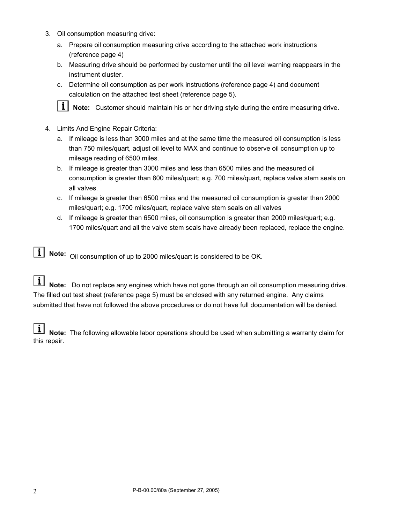- 3. Oil consumption measuring drive:
	- a. Prepare oil consumption measuring drive according to the attached work instructions (reference page 4)
	- b. Measuring drive should be performed by customer until the oil level warning reappears in the instrument cluster.
	- c. Determine oil consumption as per work instructions (reference page 4) and document calculation on the attached test sheet (reference page 5).

**II** Note: Customer should maintain his or her driving style during the entire measuring drive.

- 4. Limits And Engine Repair Criteria:
	- a. If mileage is less than 3000 miles and at the same time the measured oil consumption is less than 750 miles/quart, adjust oil level to MAX and continue to observe oil consumption up to mileage reading of 6500 miles.
	- b. If mileage is greater than 3000 miles and less than 6500 miles and the measured oil consumption is greater than 800 miles/quart; e.g. 700 miles/quart, replace valve stem seals on all valves.
	- c. If mileage is greater than 6500 miles and the measured oil consumption is greater than 2000 miles/quart; e.g. 1700 miles/quart, replace valve stem seals on all valves
	- d. If mileage is greater than 6500 miles, oil consumption is greater than 2000 miles/quart; e.g. 1700 miles/quart and all the valve stem seals have already been replaced, replace the engine.

**1** Note: Oil consumption of up to 2000 miles/quart is considered to be OK.

**I** Note: Do not replace any engines which have not gone through an oil consumption measuring drive. The filled out test sheet (reference page 5) must be enclosed with any returned engine. Any claims submitted that have not followed the above procedures or do not have full documentation will be denied.

**1** Note: The following allowable labor operations should be used when submitting a warranty claim for this repair.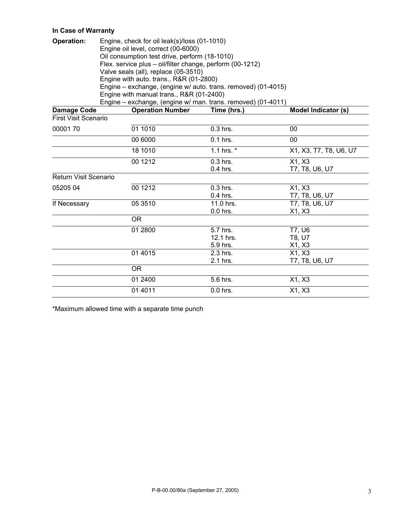## **In Case of Warranty**

| <b>Operation:</b>           | Engine, check for oil leak(s)/loss (01-1010)<br>Engine oil level, correct (00-6000)<br>Oil consumption test drive, perform (18-1010)<br>Flex. service plus - oil/filter change, perform (00-1212)<br>Valve seals (all), replace (05-3510)<br>Engine with auto. trans., R&R (01-2800)<br>Engine - exchange, (engine w/ auto. trans. removed) (01-4015)<br>Engine with manual trans., R&R (01-2400)<br>Engine - exchange, (engine w/ man. trans. removed) (01-4011) |              |                            |  |  |  |
|-----------------------------|-------------------------------------------------------------------------------------------------------------------------------------------------------------------------------------------------------------------------------------------------------------------------------------------------------------------------------------------------------------------------------------------------------------------------------------------------------------------|--------------|----------------------------|--|--|--|
| <b>Damage Code</b>          | <b>Operation Number</b>                                                                                                                                                                                                                                                                                                                                                                                                                                           | Time (hrs.)  | <b>Model Indicator (s)</b> |  |  |  |
| <b>First Visit Scenario</b> |                                                                                                                                                                                                                                                                                                                                                                                                                                                                   |              |                            |  |  |  |
| 0000170                     | 01 1010                                                                                                                                                                                                                                                                                                                                                                                                                                                           | 0.3 hrs.     | 00                         |  |  |  |
|                             | 00 6000                                                                                                                                                                                                                                                                                                                                                                                                                                                           | 0.1 hrs.     | 00                         |  |  |  |
|                             | 18 1010                                                                                                                                                                                                                                                                                                                                                                                                                                                           | 1.1 hrs. $*$ | X1, X3, T7, T8, U6, U7     |  |  |  |
|                             | 00 1212                                                                                                                                                                                                                                                                                                                                                                                                                                                           | $0.3$ hrs.   | X1, X3                     |  |  |  |
|                             |                                                                                                                                                                                                                                                                                                                                                                                                                                                                   | $0.4$ hrs.   | T7, T8, U6, U7             |  |  |  |
| Return Visit Scenario       |                                                                                                                                                                                                                                                                                                                                                                                                                                                                   |              |                            |  |  |  |
| 05205 04                    | $\overline{0}0$ 1212                                                                                                                                                                                                                                                                                                                                                                                                                                              | 0.3 hrs.     | X1, X3                     |  |  |  |
|                             |                                                                                                                                                                                                                                                                                                                                                                                                                                                                   | $0.4$ hrs.   | T7, T8, U6, U7             |  |  |  |
| If Necessary                | 05 3510                                                                                                                                                                                                                                                                                                                                                                                                                                                           | 11.0 hrs.    | T7, T8, U6, U7             |  |  |  |
|                             |                                                                                                                                                                                                                                                                                                                                                                                                                                                                   | $0.0$ hrs.   | X1, X3                     |  |  |  |
|                             | <b>OR</b>                                                                                                                                                                                                                                                                                                                                                                                                                                                         |              |                            |  |  |  |
|                             | 01 2800                                                                                                                                                                                                                                                                                                                                                                                                                                                           | 5.7 hrs.     | $\overline{77}$ , U6       |  |  |  |
|                             |                                                                                                                                                                                                                                                                                                                                                                                                                                                                   | 12.1 hrs.    | T8, U7                     |  |  |  |
|                             |                                                                                                                                                                                                                                                                                                                                                                                                                                                                   | 5.9 hrs.     | X1, X3                     |  |  |  |
|                             | 01 40 15                                                                                                                                                                                                                                                                                                                                                                                                                                                          | $2.3$ hrs.   | X1, X3                     |  |  |  |
|                             |                                                                                                                                                                                                                                                                                                                                                                                                                                                                   | 2.1 hrs.     | T7, T8, U6, U7             |  |  |  |
|                             | <b>OR</b>                                                                                                                                                                                                                                                                                                                                                                                                                                                         |              |                            |  |  |  |
|                             | 01 2400                                                                                                                                                                                                                                                                                                                                                                                                                                                           | 5.6 hrs.     | X1, X3                     |  |  |  |
|                             | 01 4011                                                                                                                                                                                                                                                                                                                                                                                                                                                           | 0.0 hrs.     | X1, X3                     |  |  |  |

\*Maximum allowed time with a separate time punch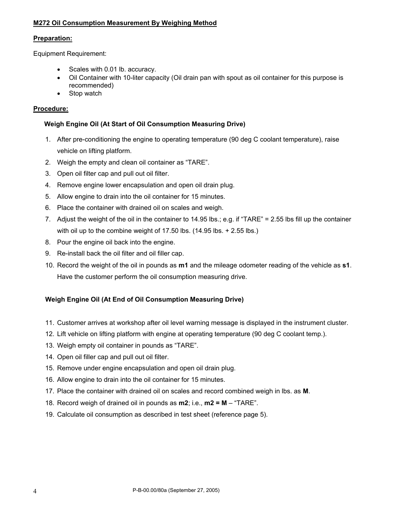### **M272 Oil Consumption Measurement By Weighing Method**

#### **Preparation:**

Equipment Requirement:

- Scales with 0.01 lb. accuracy.
- Oil Container with 10-liter capacity (Oil drain pan with spout as oil container for this purpose is recommended)
- Stop watch

#### **Procedure:**

#### **Weigh Engine Oil (At Start of Oil Consumption Measuring Drive)**

- 1. After pre-conditioning the engine to operating temperature (90 deg C coolant temperature), raise vehicle on lifting platform.
- 2. Weigh the empty and clean oil container as "TARE".
- 3. Open oil filter cap and pull out oil filter.
- 4. Remove engine lower encapsulation and open oil drain plug.
- 5. Allow engine to drain into the oil container for 15 minutes.
- 6. Place the container with drained oil on scales and weigh.
- 7. Adjust the weight of the oil in the container to 14.95 lbs.; e.g. if "TARE" = 2.55 lbs fill up the container with oil up to the combine weight of 17.50 lbs. (14.95 lbs. + 2.55 lbs.)
- 8. Pour the engine oil back into the engine.
- 9. Re-install back the oil filter and oil filler cap.
- 10. Record the weight of the oil in pounds as **m1** and the mileage odometer reading of the vehicle as **s1**. Have the customer perform the oil consumption measuring drive.

### **Weigh Engine Oil (At End of Oil Consumption Measuring Drive)**

- 11. Customer arrives at workshop after oil level warning message is displayed in the instrument cluster.
- 12. Lift vehicle on lifting platform with engine at operating temperature (90 deg C coolant temp.).
- 13. Weigh empty oil container in pounds as "TARE".
- 14. Open oil filler cap and pull out oil filter.
- 15. Remove under engine encapsulation and open oil drain plug.
- 16. Allow engine to drain into the oil container for 15 minutes.
- 17. Place the container with drained oil on scales and record combined weigh in lbs. as **M**.
- 18. Record weigh of drained oil in pounds as **m2**; i.e., **m2 = M**  "TARE".
- 19. Calculate oil consumption as described in test sheet (reference page 5).